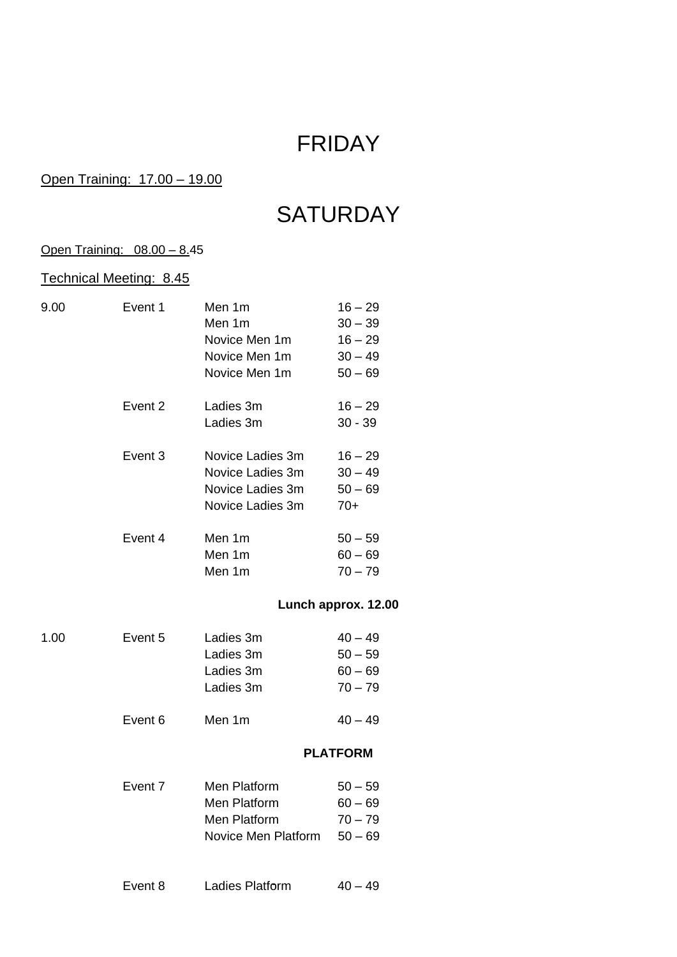# FRIDAY

### Open Training: 17.00 – 19.00

# **SATURDAY**

### Open Training: 08.00 – 8.45

## Technical Meeting: 8.45

| 9.00 | Event 1 | Men 1m           | $16 - 29$           |
|------|---------|------------------|---------------------|
|      |         | Men 1m           | $30 - 39$           |
|      |         | Novice Men 1m    | $16 - 29$           |
|      |         | Novice Men 1m    | $30 - 49$           |
|      |         | Novice Men 1m    | $50 - 69$           |
|      | Event 2 | Ladies 3m        | $16 - 29$           |
|      |         | Ladies 3m        | $30 - 39$           |
|      | Event 3 | Novice Ladies 3m | $16 - 29$           |
|      |         | Novice Ladies 3m | $30 - 49$           |
|      |         | Novice Ladies 3m | $50 - 69$           |
|      |         | Novice Ladies 3m | $70+$               |
|      | Event 4 | Men 1m           | $50 - 59$           |
|      |         | Men 1m           | $60 - 69$           |
|      |         | Men 1m           | $70 - 79$           |
|      |         |                  | Lunch approx. 12.00 |
|      |         |                  |                     |

| 1.00 | Event 5 | Ladies 3m | $40 - 49$ |
|------|---------|-----------|-----------|
|      |         | Ladies 3m | $50 - 59$ |
|      |         | Ladies 3m | $60 - 69$ |
|      |         | Ladies 3m | $70 - 79$ |
|      |         |           |           |

# Event 6 Men 1m  $40-49$

#### **PLATFORM**

| Event 7 | Men Platform        | $50 - 59$ |
|---------|---------------------|-----------|
|         | Men Platform        | $60 - 69$ |
|         | Men Platform        | $70 - 79$ |
|         | Novice Men Platform | $50 - 69$ |
|         |                     |           |

| Event 8<br>Ladies Platform | $40 - 49$ |
|----------------------------|-----------|
|----------------------------|-----------|